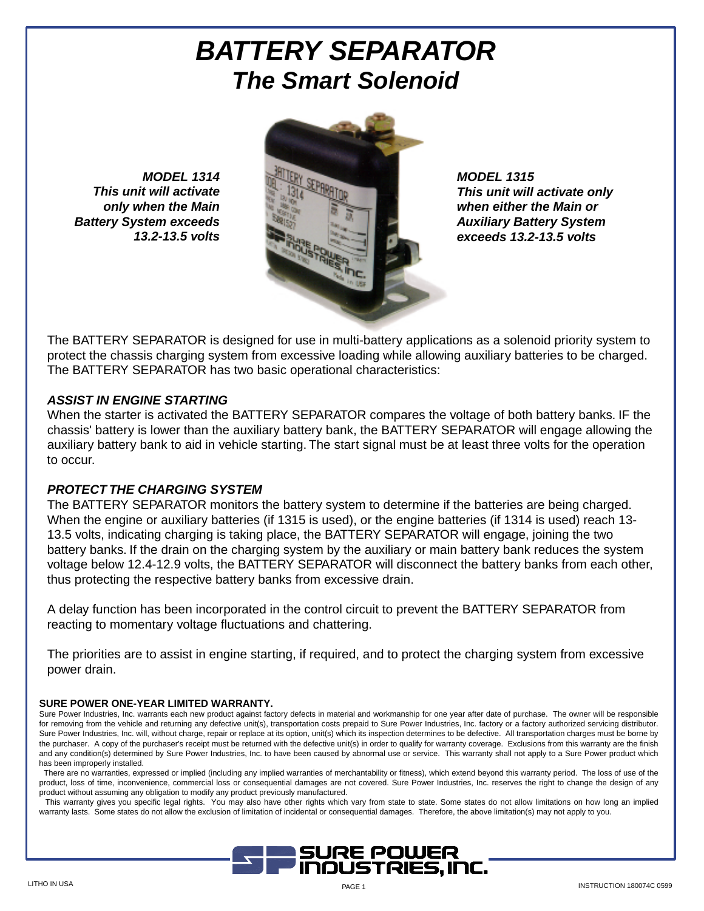# **BATTERY SEPARATOR The Smart Solenoid**

**MODEL 1314 This unit will activate only when the Main Battery System exceeds 13.2-13.5 volts**



**MODEL 1315 This unit will activate only when either the Main or Auxiliary Battery System exceeds 13.2-13.5 volts**

The BATTERY SEPARATOR is designed for use in multi-battery applications as a solenoid priority system to protect the chassis charging system from excessive loading while allowing auxiliary batteries to be charged. The BATTERY SEPARATOR has two basic operational characteristics:

#### **ASSIST IN ENGINE STARTING**

When the starter is activated the BATTERY SEPARATOR compares the voltage of both battery banks. IF the chassis' battery is lower than the auxiliary battery bank, the BATTERY SEPARATOR will engage allowing the auxiliary battery bank to aid in vehicle starting. The start signal must be at least three volts for the operation to occur.

### **PROTECT THE CHARGING SYSTEM**

The BATTERY SEPARATOR monitors the battery system to determine if the batteries are being charged. When the engine or auxiliary batteries (if 1315 is used), or the engine batteries (if 1314 is used) reach 13- 13.5 volts, indicating charging is taking place, the BATTERY SEPARATOR will engage, joining the two battery banks. If the drain on the charging system by the auxiliary or main battery bank reduces the system voltage below 12.4-12.9 volts, the BATTERY SEPARATOR will disconnect the battery banks from each other, thus protecting the respective battery banks from excessive drain.

A delay function has been incorporated in the control circuit to prevent the BATTERY SEPARATOR from reacting to momentary voltage fluctuations and chattering.

The priorities are to assist in engine starting, if required, and to protect the charging system from excessive power drain.

#### **SURE POWER ONE-YEAR LIMITED WARRANTY.**

Sure Power Industries, Inc. warrants each new product against factory defects in material and workmanship for one year after date of purchase. The owner will be responsible for removing from the vehicle and returning any defective unit(s), transportation costs prepaid to Sure Power Industries, Inc. factory or a factory authorized servicing distributor. Sure Power Industries, Inc. will, without charge, repair or replace at its option, unit(s) which its inspection determines to be defective. All transportation charges must be borne by the purchaser. A copy of the purchaser's receipt must be returned with the defective unit(s) in order to qualify for warranty coverage. Exclusions from this warranty are the finish and any condition(s) determined by Sure Power Industries, Inc. to have been caused by abnormal use or service. This warranty shall not apply to a Sure Power product which has been improperly installed.

There are no warranties, expressed or implied (including any implied warranties of merchantability or fitness), which extend beyond this warranty period. The loss of use of the product, loss of time, inconvenience, commercial loss or consequential damages are not covered. Sure Power Industries, Inc. reserves the right to change the design of any product without assuming any obligation to modify any product previously manufactured.

This warranty gives you specific legal rights. You may also have other rights which vary from state to state. Some states do not allow limitations on how long an implied warranty lasts. Some states do not allow the exclusion of limitation of incidental or consequential damages. Therefore, the above limitation(s) may not apply to you.